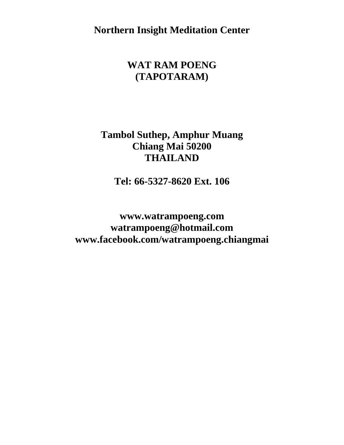**Northern Insight Meditation Center**

# **WAT RAM POENG (TAPOTARAM)**

#### **Tambol Suthep, Amphur Muang Chiang Mai 50200 THAILAND**

**Tel: 66-5327-8620 Ext. 106**

**[www.watrampoeng.c](http://www.watrampoeng./)om [watrampoeng@hotmail.com](mailto:watrampoeng@hotmail.com) [www.facebook.com/watrampoeng.](http://www.facebook.com/watrampoeng)chiangmai**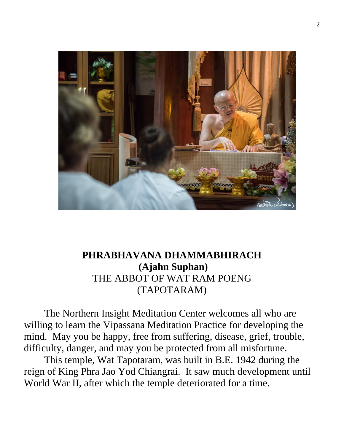

# **PHRABHAVANA DHAMMABHIRACH (Ajahn Suphan)** THE ABBOT OF WAT RAM POENG (TAPOTARAM)

The Northern Insight Meditation Center welcomes all who are willing to learn the Vipassana Meditation Practice for developing the mind. May you be happy, free from suffering, disease, grief, trouble, difficulty, danger, and may you be protected from all misfortune.

This temple, Wat Tapotaram, was built in B.E. 1942 during the reign of King Phra Jao Yod Chiangrai. It saw much development until World War II, after which the temple deteriorated for a time.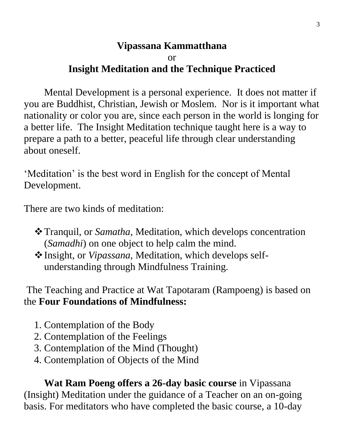#### **Vipassana Kammatthana** or **Insight Meditation and the Technique Practiced**

Mental Development is a personal experience. It does not matter if you are Buddhist, Christian, Jewish or Moslem. Nor is it important what nationality or color you are, since each person in the world is longing for a better life. The Insight Meditation technique taught here is a way to prepare a path to a better, peaceful life through clear understanding about oneself.

'Meditation' is the best word in English for the concept of Mental Development.

There are two kinds of meditation:

- ❖Tranquil, or *Samatha*, Meditation, which develops concentration (*Samadhi*) on one object to help calm the mind.
- ❖Insight, or *Vipassana*, Meditation, which develops selfunderstanding through Mindfulness Training.

The Teaching and Practice at Wat Tapotaram (Rampoeng) is based on the **Four Foundations of Mindfulness:**

- 1. Contemplation of the Body
- 2. Contemplation of the Feelings
- 3. Contemplation of the Mind (Thought)
- 4. Contemplation of Objects of the Mind

**Wat Ram Poeng offers a 26-day basic course** in Vipassana (Insight) Meditation under the guidance of a Teacher on an on-going basis. For meditators who have completed the basic course, a 10-day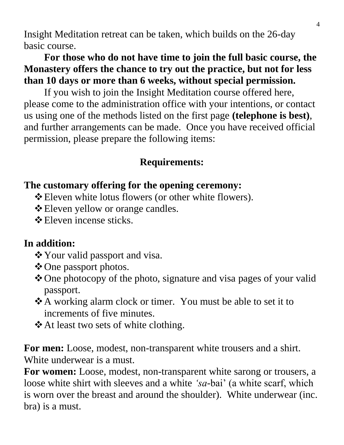Insight Meditation retreat can be taken, which builds on the 26-day basic course.

# **For those who do not have time to join the full basic course, the Monastery offers the chance to try out the practice, but not for less than 10 days or more than 6 weeks, without special permission.**

If you wish to join the Insight Meditation course offered here, please come to the administration office with your intentions, or contact us using one of the methods listed on the first page **(telephone is best)**, and further arrangements can be made. Once you have received official permission, please prepare the following items:

# **Requirements:**

# **The customary offering for the opening ceremony:**

- ❖Eleven white lotus flowers (or other white flowers).
- ❖Eleven yellow or orange candles.
- ❖Eleven incense sticks.

# **In addition:**

- ❖Your valid passport and visa.
- ❖One passport photos.
- ❖One photocopy of the photo, signature and visa pages of your valid passport.
- ❖A working alarm clock or timer. You must be able to set it to increments of five minutes.
- ❖At least two sets of white clothing.

**For men:** Loose, modest, non-transparent white trousers and a shirt. White underwear is a must.

**For women:** Loose, modest, non-transparent white sarong or trousers, a loose white shirt with sleeves and a white *'sa-*bai' (a white scarf, which is worn over the breast and around the shoulder). White underwear (inc. bra) is a must.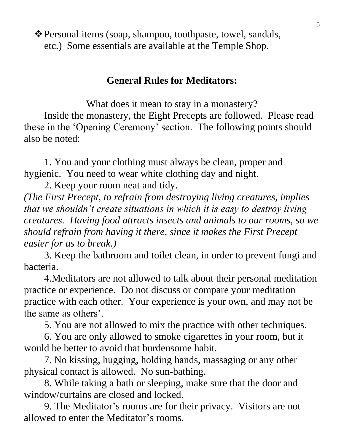❖Personal items (soap, shampoo, toothpaste, towel, sandals, etc.) Some essentials are available at the Temple Shop.

#### **General Rules for Meditators:**

What does it mean to stay in a monastery? Inside the monastery, the Eight Precepts are followed. Please read these in the 'Opening Ceremony' section. The following points should also be noted:

1. You and your clothing must always be clean, proper and hygienic. You need to wear white clothing day and night.

2. Keep your room neat and tidy.

*(The First Precept, to refrain from destroying living creatures, implies that we shouldn't create situations in which it is easy to destroy living creatures. Having food attracts insects and animals to our rooms, so we should refrain from having it there, since it makes the First Precept easier for us to break.)*

3. Keep the bathroom and toilet clean, in order to prevent fungi and bacteria.

4.Meditators are not allowed to talk about their personal meditation practice or experience. Do not discuss or compare your meditation practice with each other. Your experience is your own, and may not be the same as others'.

5. You are not allowed to mix the practice with other techniques.

6. You are only allowed to smoke cigarettes in your room, but it would be better to avoid that burdensome habit.

7. No kissing, hugging, holding hands, massaging or any other physical contact is allowed. No sun-bathing.

8. While taking a bath or sleeping, make sure that the door and window/curtains are closed and locked.

9. The Meditator's rooms are for their privacy. Visitors are not allowed to enter the Meditator's rooms.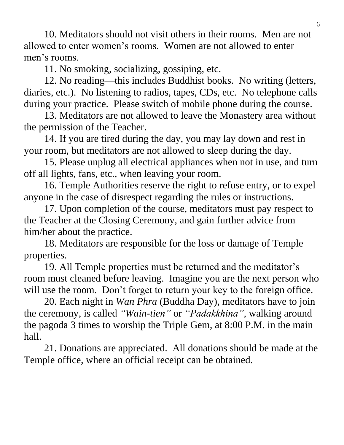10. Meditators should not visit others in their rooms. Men are not allowed to enter women's rooms. Women are not allowed to enter men's rooms.

11. No smoking, socializing, gossiping, etc.

12. No reading—this includes Buddhist books. No writing (letters, diaries, etc.). No listening to radios, tapes, CDs, etc. No telephone calls during your practice. Please switch of mobile phone during the course.

13. Meditators are not allowed to leave the Monastery area without the permission of the Teacher.

14. If you are tired during the day, you may lay down and rest in your room, but meditators are not allowed to sleep during the day.

15. Please unplug all electrical appliances when not in use, and turn off all lights, fans, etc., when leaving your room.

16. Temple Authorities reserve the right to refuse entry, or to expel anyone in the case of disrespect regarding the rules or instructions.

17. Upon completion of the course, meditators must pay respect to the Teacher at the Closing Ceremony, and gain further advice from him/her about the practice.

18. Meditators are responsible for the loss or damage of Temple properties.

19. All Temple properties must be returned and the meditator's room must cleaned before leaving. Imagine you are the next person who will use the room. Don't forget to return your key to the foreign office.

20. Each night in *Wan Phra* (Buddha Day), meditators have to join the ceremony, is called *"Wain-tien"* or *"Padakkhina",* walking around the pagoda 3 times to worship the Triple Gem, at 8:00 P.M. in the main hall.

21. Donations are appreciated. All donations should be made at the Temple office, where an official receipt can be obtained.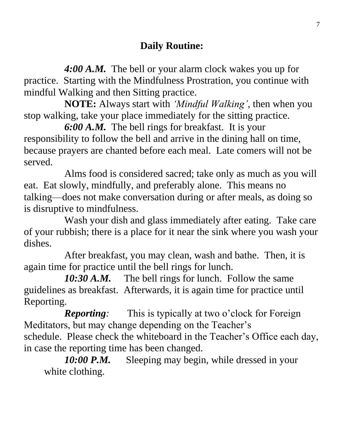*4:00 A.M.* The bell or your alarm clock wakes you up for practice. Starting with the Mindfulness Prostration, you continue with mindful Walking and then Sitting practice.

**NOTE:** Always start with *'Mindful Walking'*, then when you stop walking, take your place immediately for the sitting practice.

*6:00 A.M.* The bell rings for breakfast. It is your responsibility to follow the bell and arrive in the dining hall on time, because prayers are chanted before each meal. Late comers will not be served.

Alms food is considered sacred; take only as much as you will eat. Eat slowly, mindfully, and preferably alone. This means no talking—does not make conversation during or after meals, as doing so is disruptive to mindfulness.

Wash your dish and glass immediately after eating. Take care of your rubbish; there is a place for it near the sink where you wash your dishes.

After breakfast, you may clean, wash and bathe. Then, it is again time for practice until the bell rings for lunch.

10:30 A.M. The bell rings for lunch. Follow the same guidelines as breakfast. Afterwards, it is again time for practice until Reporting.

*Reporting:* This is typically at two o'clock for Foreign Meditators, but may change depending on the Teacher's schedule. Please check the whiteboard in the Teacher's Office each day, in case the reporting time has been changed.

*10:00 P.M.* Sleeping may begin, while dressed in your white clothing.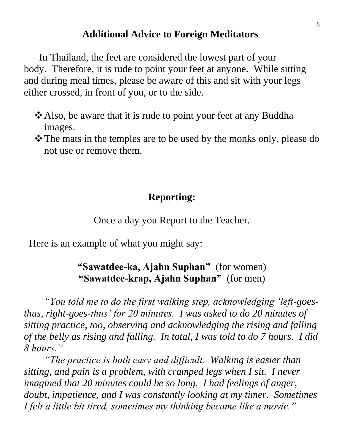#### **Additional Advice to Foreign Meditators**

 In Thailand, the feet are considered the lowest part of your body. Therefore, it is rude to point your feet at anyone. While sitting and during meal times, please be aware of this and sit with your legs either crossed, in front of you, or to the side.

- ❖Also, be aware that it is rude to point your feet at any Buddha images.
- ❖The mats in the temples are to be used by the monks only, please do not use or remove them.

#### **Reporting:**

Once a day you Report to the Teacher.

Here is an example of what you might say:

### **"Sawatdee-ka, Ajahn Suphan"** (for women) **"Sawatdee-krap, Ajahn Suphan"** (for men)

*"You told me to do the first walking step, acknowledging 'left-goesthus, right-goes-thus' for 20 minutes. I was asked to do 20 minutes of sitting practice, too, observing and acknowledging the rising and falling of the belly as rising and falling. In total, I was told to do 7 hours. I did 8 hours."*

*"The practice is both easy and difficult. Walking is easier than sitting, and pain is a problem, with cramped legs when I sit. I never imagined that 20 minutes could be so long. I had feelings of anger, doubt, impatience, and I was constantly looking at my timer. Sometimes I felt a little bit tired, sometimes my thinking became like a movie."*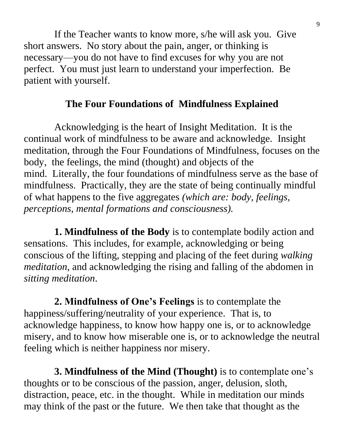If the Teacher wants to know more, s/he will ask you. Give short answers. No story about the pain, anger, or thinking is necessary—you do not have to find excuses for why you are not perfect. You must just learn to understand your imperfection. Be patient with yourself.

# **The Four Foundations of Mindfulness Explained**

 Acknowledging is the heart of Insight Meditation. It is the continual work of mindfulness to be aware and acknowledge. Insight meditation, through the Four Foundations of Mindfulness, focuses on the body, the feelings, the mind (thought) and objects of the mind. Literally, the four foundations of mindfulness serve as the base of mindfulness. Practically, they are the state of being continually mindful of what happens to the five aggregates *(which are: body, feelings, perceptions, mental formations and consciousness).*

 **1. Mindfulness of the Body** is to contemplate bodily action and sensations. This includes, for example, acknowledging or being conscious of the lifting, stepping and placing of the feet during *walking meditation*, and acknowledging the rising and falling of the abdomen in *sitting meditation*.

 **2. Mindfulness of One's Feelings** is to contemplate the happiness/suffering/neutrality of your experience. That is, to acknowledge happiness, to know how happy one is, or to acknowledge misery, and to know how miserable one is, or to acknowledge the neutral feeling which is neither happiness nor misery.

 **3. Mindfulness of the Mind (Thought)** is to contemplate one's thoughts or to be conscious of the passion, anger, delusion, sloth, distraction, peace, etc. in the thought. While in meditation our minds may think of the past or the future. We then take that thought as the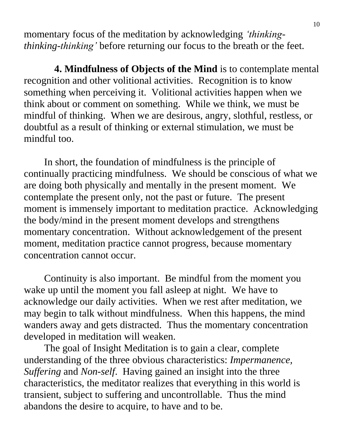momentary focus of the meditation by acknowledging *'thinkingthinking-thinking'* before returning our focus to the breath or the feet.

 **4. Mindfulness of Objects of the Mind** is to contemplate mental recognition and other volitional activities. Recognition is to know something when perceiving it. Volitional activities happen when we think about or comment on something. While we think, we must be mindful of thinking. When we are desirous, angry, slothful, restless, or doubtful as a result of thinking or external stimulation, we must be mindful too.

In short, the foundation of mindfulness is the principle of continually practicing mindfulness. We should be conscious of what we are doing both physically and mentally in the present moment. We contemplate the present only, not the past or future. The present moment is immensely important to meditation practice. Acknowledging the body/mind in the present moment develops and strengthens momentary concentration. Without acknowledgement of the present moment, meditation practice cannot progress, because momentary concentration cannot occur.

Continuity is also important. Be mindful from the moment you wake up until the moment you fall asleep at night. We have to acknowledge our daily activities. When we rest after meditation, we may begin to talk without mindfulness. When this happens, the mind wanders away and gets distracted. Thus the momentary concentration developed in meditation will weaken.

The goal of Insight Meditation is to gain a clear, complete understanding of the three obvious characteristics: *Impermanence, Suffering* and *Non-self*. Having gained an insight into the three characteristics, the meditator realizes that everything in this world is transient, subject to suffering and uncontrollable. Thus the mind abandons the desire to acquire, to have and to be.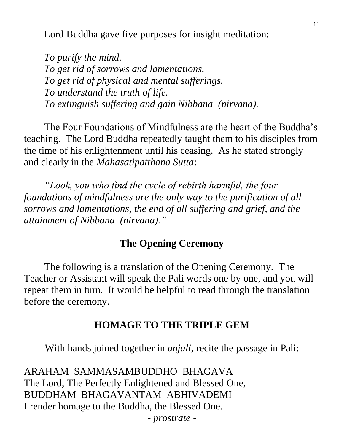Lord Buddha gave five purposes for insight meditation:

*To purify the mind. To get rid of sorrows and lamentations. To get rid of physical and mental sufferings. To understand the truth of life. To extinguish suffering and gain Nibbana (nirvana).*

The Four Foundations of Mindfulness are the heart of the Buddha's teaching. The Lord Buddha repeatedly taught them to his disciples from the time of his enlightenment until his ceasing. As he stated strongly and clearly in the *Mahasatipatthana Sutta*:

*"Look, you who find the cycle of rebirth harmful, the four foundations of mindfulness are the only way to the purification of all sorrows and lamentations, the end of all suffering and grief, and the attainment of Nibbana (nirvana)."*

#### **The Opening Ceremony**

The following is a translation of the Opening Ceremony. The Teacher or Assistant will speak the Pali words one by one, and you will repeat them in turn. It would be helpful to read through the translation before the ceremony.

#### **HOMAGE TO THE TRIPLE GEM**

With hands joined together in *anjali*, recite the passage in Pali:

ARAHAM SAMMASAMBUDDHO BHAGAVA The Lord, The Perfectly Enlightened and Blessed One, BUDDHAM BHAGAVANTAM ABHIVADEMI I render homage to the Buddha, the Blessed One.

*- prostrate -*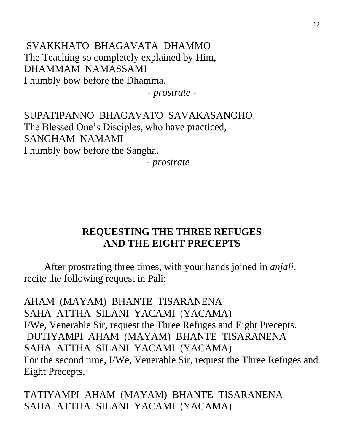SVAKKHATO BHAGAVATA DHAMMO The Teaching so completely explained by Him, DHAMMAM NAMASSAMI I humbly bow before the Dhamma.

*- prostrate -*

SUPATIPANNO BHAGAVATO SAVAKASANGHO The Blessed One's Disciples, who have practiced, SANGHAM NAMAMI I humbly bow before the Sangha.

*- prostrate –*

#### **REQUESTING THE THREE REFUGES AND THE EIGHT PRECEPTS**

After prostrating three times, with your hands joined in *anjali*, recite the following request in Pali:

AHAM (MAYAM) BHANTE TISARANENA SAHA ATTHA SILANI YACAMI (YACAMA) I/We, Venerable Sir, request the Three Refuges and Eight Precepts. DUTIYAMPI AHAM (MAYAM) BHANTE TISARANENA SAHA ATTHA SILANI YACAMI (YACAMA) For the second time, I/We, Venerable Sir, request the Three Refuges and Eight Precepts.

TATIYAMPI AHAM (MAYAM) BHANTE TISARANENA SAHA ATTHA SILANI YACAMI (YACAMA)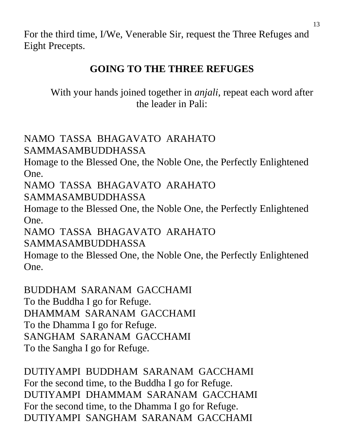For the third time, I/We, Venerable Sir, request the Three Refuges and Eight Precepts.

# **GOING TO THE THREE REFUGES**

With your hands joined together in *anjali*, repeat each word after the leader in Pali:

NAMO TASSA BHAGAVATO ARAHATO SAMMASAMBUDDHASSA

Homage to the Blessed One, the Noble One, the Perfectly Enlightened One.

NAMO TASSA BHAGAVATO ARAHATO SAMMASAMBUDDHASSA

Homage to the Blessed One, the Noble One, the Perfectly Enlightened One.

NAMO TASSA BHAGAVATO ARAHATO SAMMASAMBUDDHASSA

Homage to the Blessed One, the Noble One, the Perfectly Enlightened One.

BUDDHAM SARANAM GACCHAMI To the Buddha I go for Refuge. DHAMMAM SARANAM GACCHAMI To the Dhamma I go for Refuge. SANGHAM SARANAM GACCHAMI To the Sangha I go for Refuge.

DUTIYAMPI BUDDHAM SARANAM GACCHAMI For the second time, to the Buddha I go for Refuge. DUTIYAMPI DHAMMAM SARANAM GACCHAMI For the second time, to the Dhamma I go for Refuge. DUTIYAMPI SANGHAM SARANAM GACCHAMI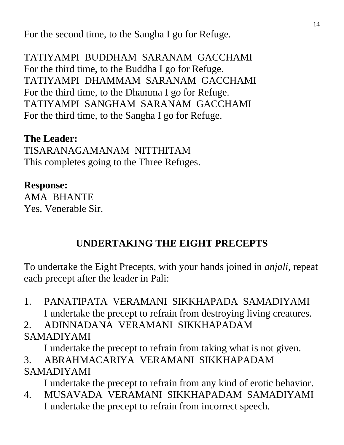For the second time, to the Sangha I go for Refuge.

TATIYAMPI BUDDHAM SARANAM GACCHAMI For the third time, to the Buddha I go for Refuge. TATIYAMPI DHAMMAM SARANAM GACCHAMI For the third time, to the Dhamma I go for Refuge. TATIYAMPI SANGHAM SARANAM GACCHAMI For the third time, to the Sangha I go for Refuge.

### **The Leader:**

TISARANAGAMANAM NITTHITAM This completes going to the Three Refuges.

#### **Response:**

AMA BHANTE Yes, Venerable Sir.

## **UNDERTAKING THE EIGHT PRECEPTS**

To undertake the Eight Precepts, with your hands joined in *anjali*, repeat each precept after the leader in Pali:

1. PANATIPATA VERAMANI SIKKHAPADA SAMADIYAMI I undertake the precept to refrain from destroying living creatures.

2. ADINNADANA VERAMANI SIKKHAPADAM SAMADIYAMI

I undertake the precept to refrain from taking what is not given.

3. ABRAHMACARIYA VERAMANI SIKKHAPADAM SAMADIYAMI

I undertake the precept to refrain from any kind of erotic behavior.

4. MUSAVADA VERAMANI SIKKHAPADAM SAMADIYAMI I undertake the precept to refrain from incorrect speech.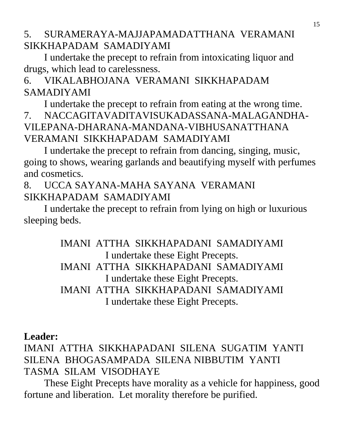### 5. SURAMERAYA-MAJJAPAMADATTHANA VERAMANI SIKKHAPADAM SAMADIYAMI

I undertake the precept to refrain from intoxicating liquor and drugs, which lead to carelessness.

# 6. VIKALABHOJANA VERAMANI SIKKHAPADAM SAMADIYAMI

I undertake the precept to refrain from eating at the wrong time. 7. NACCAGITAVADITAVISUKADASSANA-MALAGANDHA-VILEPANA-DHARANA-MANDANA-VIBHUSANATTHANA VERAMANI SIKKHAPADAM SAMADIYAMI

I undertake the precept to refrain from dancing, singing, music, going to shows, wearing garlands and beautifying myself with perfumes and cosmetics.

## 8. UCCA SAYANA-MAHA SAYANA VERAMANI SIKKHAPADAM SAMADIYAMI

I undertake the precept to refrain from lying on high or luxurious sleeping beds.

> IMANI ATTHA SIKKHAPADANI SAMADIYAMI I undertake these Eight Precepts. IMANI ATTHA SIKKHAPADANI SAMADIYAMI I undertake these Eight Precepts. IMANI ATTHA SIKKHAPADANI SAMADIYAMI I undertake these Eight Precepts.

## **Leader:**

# IMANI ATTHA SIKKHAPADANI SILENA SUGATIM YANTI SILENA BHOGASAMPADA SILENA NIBBUTIM YANTI TASMA SILAM VISODHAYE

These Eight Precepts have morality as a vehicle for happiness, good fortune and liberation. Let morality therefore be purified.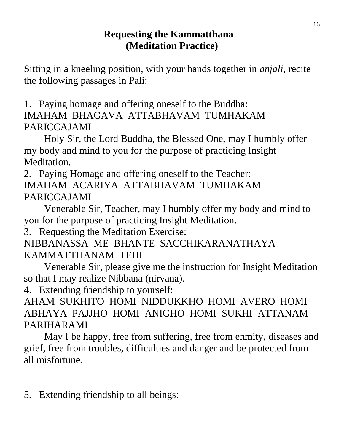### **Requesting the Kammatthana (Meditation Practice)**

Sitting in a kneeling position, with your hands together in *anjali*, recite the following passages in Pali:

1. Paying homage and offering oneself to the Buddha: IMAHAM BHAGAVA ATTABHAVAM TUMHAKAM PARICCAJAMI

Holy Sir, the Lord Buddha, the Blessed One, may I humbly offer my body and mind to you for the purpose of practicing Insight Meditation.

2. Paying Homage and offering oneself to the Teacher: IMAHAM ACARIYA ATTABHAVAM TUMHAKAM PARICCAJAMI

Venerable Sir, Teacher, may I humbly offer my body and mind to you for the purpose of practicing Insight Meditation.

3. Requesting the Meditation Exercise:

NIBBANASSA ME BHANTE SACCHIKARANATHAYA KAMMATTHANAM TEHI

Venerable Sir, please give me the instruction for Insight Meditation so that I may realize Nibbana (nirvana).

4. Extending friendship to yourself:

AHAM SUKHITO HOMI NIDDUKKHO HOMI AVERO HOMI ABHAYA PAJJHO HOMI ANIGHO HOMI SUKHI ATTANAM PARIHARAMI

May I be happy, free from suffering, free from enmity, diseases and grief, free from troubles, difficulties and danger and be protected from all misfortune.

5. Extending friendship to all beings: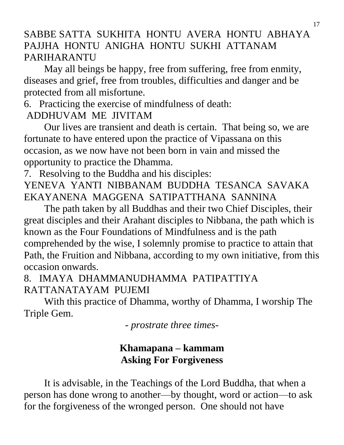# SABBE SATTA SUKHITA HONTU AVERA HONTU ABHAYA PAJJHA HONTU ANIGHA HONTU SUKHI ATTANAM PARIHARANTU

May all beings be happy, free from suffering, free from enmity, diseases and grief, free from troubles, difficulties and danger and be protected from all misfortune.

### 6. Practicing the exercise of mindfulness of death:

# ADDHUVAM ME JIVITAM

Our lives are transient and death is certain. That being so, we are fortunate to have entered upon the practice of Vipassana on this occasion, as we now have not been born in vain and missed the opportunity to practice the Dhamma.

7. Resolving to the Buddha and his disciples:

YENEVA YANTI NIBBANAM BUDDHA TESANCA SAVAKA EKAYANENA MAGGENA SATIPATTHANA SANNINA

The path taken by all Buddhas and their two Chief Disciples, their great disciples and their Arahant disciples to Nibbana, the path which is known as the Four Foundations of Mindfulness and is the path comprehended by the wise, I solemnly promise to practice to attain that Path, the Fruition and Nibbana, according to my own initiative, from this occasion onwards.

# 8. IMAYA DHAMMANUDHAMMA PATIPATTIYA RATTANATAYAM PUJEMI

With this practice of Dhamma, worthy of Dhamma, I worship The Triple Gem.

*- prostrate three times-*

# **Khamapana – kammam Asking For Forgiveness**

It is advisable, in the Teachings of the Lord Buddha, that when a person has done wrong to another—by thought, word or action—to ask for the forgiveness of the wronged person. One should not have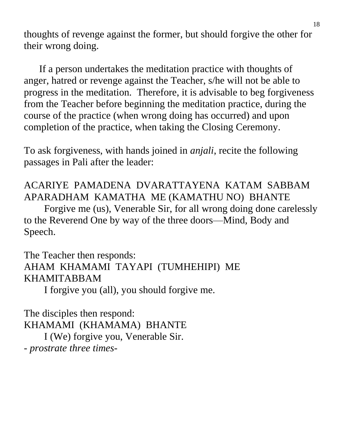thoughts of revenge against the former, but should forgive the other for their wrong doing.

 If a person undertakes the meditation practice with thoughts of anger, hatred or revenge against the Teacher, s/he will not be able to progress in the meditation. Therefore, it is advisable to beg forgiveness from the Teacher before beginning the meditation practice, during the course of the practice (when wrong doing has occurred) and upon completion of the practice, when taking the Closing Ceremony.

To ask forgiveness, with hands joined in *anjali*, recite the following passages in Pali after the leader:

# ACARIYE PAMADENA DVARATTAYENA KATAM SABBAM APARADHAM KAMATHA ME (KAMATHU NO) BHANTE

Forgive me (us), Venerable Sir, for all wrong doing done carelessly to the Reverend One by way of the three doors—Mind, Body and Speech.

## The Teacher then responds: AHAM KHAMAMI TAYAPI (TUMHEHIPI) ME KHAMITABBAM

I forgive you (all), you should forgive me.

The disciples then respond: KHAMAMI (KHAMAMA) BHANTE I (We) forgive you, Venerable Sir. *- prostrate three times-*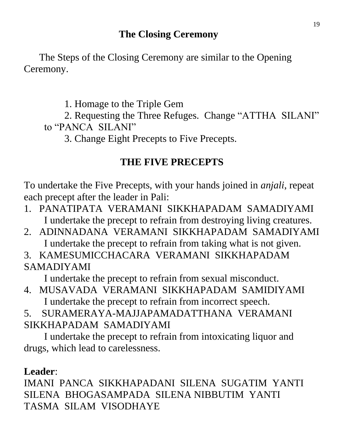## **The Closing Ceremony**

 The Steps of the Closing Ceremony are similar to the Opening Ceremony.

1. Homage to the Triple Gem

2. Requesting the Three Refuges. Change "ATTHA SILANI" to "PANCA SILANI"

3. Change Eight Precepts to Five Precepts.

## **THE FIVE PRECEPTS**

To undertake the Five Precepts, with your hands joined in *anjali*, repeat each precept after the leader in Pali:

- 1. PANATIPATA VERAMANI SIKKHAPADAM SAMADIYAMI I undertake the precept to refrain from destroying living creatures.
- 2. ADINNADANA VERAMANI SIKKHAPADAM SAMADIYAMI I undertake the precept to refrain from taking what is not given.
- 3. KAMESUMICCHACARA VERAMANI SIKKHAPADAM SAMADIYAMI

I undertake the precept to refrain from sexual misconduct.

4. MUSAVADA VERAMANI SIKKHAPADAM SAMIDIYAMI I undertake the precept to refrain from incorrect speech.

5. SURAMERAYA-MAJJAPAMADATTHANA VERAMANI SIKKHAPADAM SAMADIYAMI

I undertake the precept to refrain from intoxicating liquor and drugs, which lead to carelessness.

## **Leader**:

IMANI PANCA SIKKHAPADANI SILENA SUGATIM YANTI SILENA BHOGASAMPADA SILENA NIBBUTIM YANTI TASMA SILAM VISODHAYE